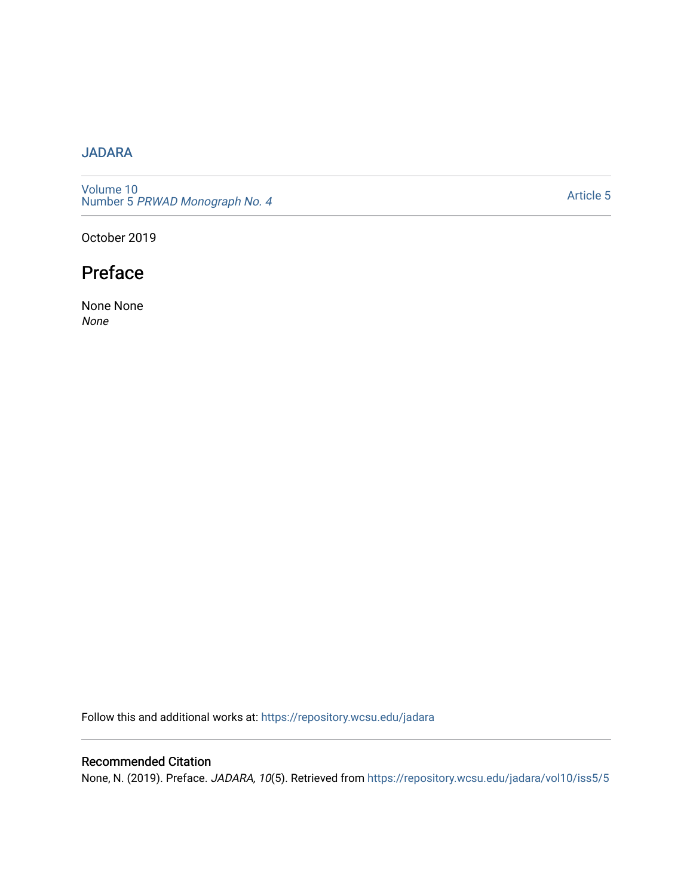### [JADARA](https://repository.wcsu.edu/jadara)

[Volume 10](https://repository.wcsu.edu/jadara/vol10)  Number 5 PRWAD Monograph No. 4

[Article 5](https://repository.wcsu.edu/jadara/vol10/iss5/5) 

October 2019

# Preface

None None None

Follow this and additional works at: [https://repository.wcsu.edu/jadara](https://repository.wcsu.edu/jadara?utm_source=repository.wcsu.edu%2Fjadara%2Fvol10%2Fiss5%2F5&utm_medium=PDF&utm_campaign=PDFCoverPages)

#### Recommended Citation

None, N. (2019). Preface. JADARA, 10(5). Retrieved from [https://repository.wcsu.edu/jadara/vol10/iss5/5](https://repository.wcsu.edu/jadara/vol10/iss5/5?utm_source=repository.wcsu.edu%2Fjadara%2Fvol10%2Fiss5%2F5&utm_medium=PDF&utm_campaign=PDFCoverPages)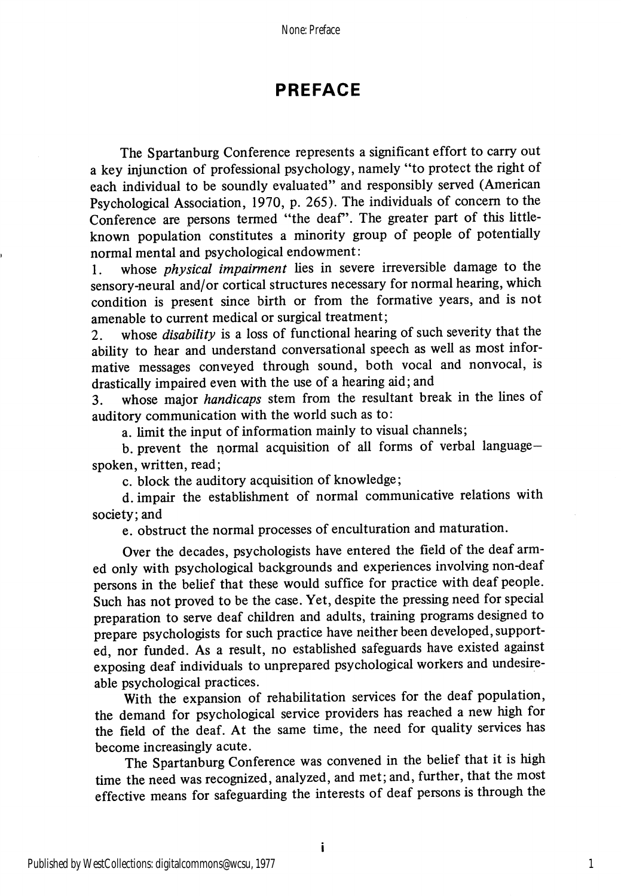## PREFACE

The Spartanburg Conference represents a significant effort to carry out a key injunction of professional psychology, namely "to protect the right of each individual to be soundly evaluated" and responsibly served (American Psychological Association, 1970, p. 265). The individuals of concern to the Conference are persons termed "the deaf". The greater part of this littleknown population constitutes a minority group of people of potentially normal mental and psychological endowment:

1. whose *physical impairment* lies in severe irreversible damage to the sensory-neural and/or cortical structures necessary for normal hearing, which condition is present since birth or from the formative years, and is not amenable to current medical or surgical treatment;

2. whose *disability* is a loss of functional hearing of such severity that the ability to hear and understand conversational speech as well as most informative messages conveyed through sound, both vocal and nonvocal, is drastically impaired even with the use of a hearing aid; and

3. whose major handicaps stem from the resultant break in the lines of auditory communication with the world such as to:

a. limit the input of information mainly to visual channels;

b. prevent the normal acquisition of all forms of verbal languagespoken, written, read;

c. block the auditory acquisition of knowledge;

d. impair the establishment of normal communicative relations with society; and

e. obstruct the normal processes of enculturation and maturation.

Over the decades, psychologists have entered the field of the deaf arm ed only with psychological backgrounds and experiences involving non-deaf persons in the belief that these would suffice for practice with deaf people. Such has not proved to be the case. Yet, despite the pressing need for special preparation to serve deaf children and adults, training programs designed to prepare psychologists for such practice have neither been developed, support ed, nor funded. As a result, no established safeguards have existed against exposing deaf individuals to unprepared psychological workers and undesireable psychological practices.

With the expansion of rehabilitation services for the deaf population, the demand for psychological service providers has reached a new high for the field of the deaf. At the same time, the need for quality services has become increasingly acute.

The Spartanburg Conference was convened in the belief that it is high time the need was recognized, analyzed, and met; and, further, that the most effective means for safeguarding the interests of deaf persons is through the

1